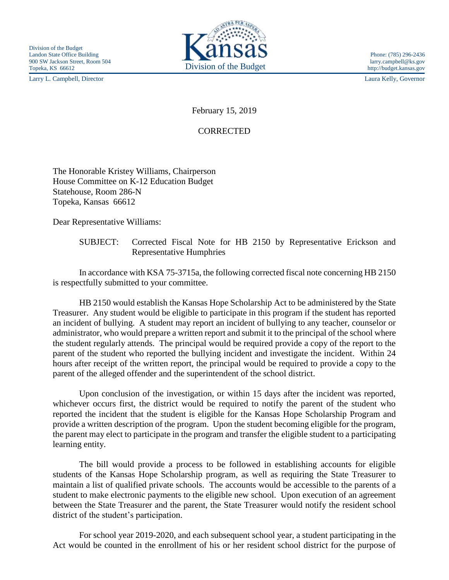Larry L. Campbell, Director Laura Kelly, Governor



## February 15, 2019

## CORRECTED

The Honorable Kristey Williams, Chairperson House Committee on K-12 Education Budget Statehouse, Room 286-N Topeka, Kansas 66612

Dear Representative Williams:

SUBJECT: Corrected Fiscal Note for HB 2150 by Representative Erickson and Representative Humphries

In accordance with KSA 75-3715a, the following corrected fiscal note concerning HB 2150 is respectfully submitted to your committee.

HB 2150 would establish the Kansas Hope Scholarship Act to be administered by the State Treasurer. Any student would be eligible to participate in this program if the student has reported an incident of bullying. A student may report an incident of bullying to any teacher, counselor or administrator, who would prepare a written report and submit it to the principal of the school where the student regularly attends. The principal would be required provide a copy of the report to the parent of the student who reported the bullying incident and investigate the incident. Within 24 hours after receipt of the written report, the principal would be required to provide a copy to the parent of the alleged offender and the superintendent of the school district.

Upon conclusion of the investigation, or within 15 days after the incident was reported, whichever occurs first, the district would be required to notify the parent of the student who reported the incident that the student is eligible for the Kansas Hope Scholarship Program and provide a written description of the program. Upon the student becoming eligible for the program, the parent may elect to participate in the program and transfer the eligible student to a participating learning entity.

The bill would provide a process to be followed in establishing accounts for eligible students of the Kansas Hope Scholarship program, as well as requiring the State Treasurer to maintain a list of qualified private schools. The accounts would be accessible to the parents of a student to make electronic payments to the eligible new school. Upon execution of an agreement between the State Treasurer and the parent, the State Treasurer would notify the resident school district of the student's participation.

For school year 2019-2020, and each subsequent school year, a student participating in the Act would be counted in the enrollment of his or her resident school district for the purpose of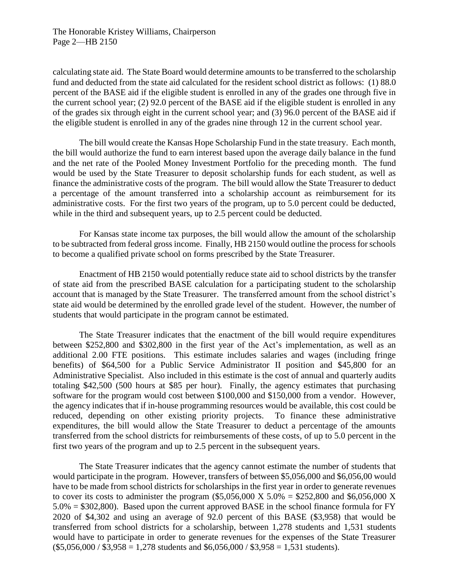calculating state aid. The State Board would determine amounts to be transferred to the scholarship fund and deducted from the state aid calculated for the resident school district as follows: (1) 88.0 percent of the BASE aid if the eligible student is enrolled in any of the grades one through five in the current school year; (2) 92.0 percent of the BASE aid if the eligible student is enrolled in any of the grades six through eight in the current school year; and (3) 96.0 percent of the BASE aid if the eligible student is enrolled in any of the grades nine through 12 in the current school year.

The bill would create the Kansas Hope Scholarship Fund in the state treasury. Each month, the bill would authorize the fund to earn interest based upon the average daily balance in the fund and the net rate of the Pooled Money Investment Portfolio for the preceding month. The fund would be used by the State Treasurer to deposit scholarship funds for each student, as well as finance the administrative costs of the program. The bill would allow the State Treasurer to deduct a percentage of the amount transferred into a scholarship account as reimbursement for its administrative costs. For the first two years of the program, up to 5.0 percent could be deducted, while in the third and subsequent years, up to 2.5 percent could be deducted.

For Kansas state income tax purposes, the bill would allow the amount of the scholarship to be subtracted from federal gross income. Finally, HB 2150 would outline the process for schools to become a qualified private school on forms prescribed by the State Treasurer.

Enactment of HB 2150 would potentially reduce state aid to school districts by the transfer of state aid from the prescribed BASE calculation for a participating student to the scholarship account that is managed by the State Treasurer. The transferred amount from the school district's state aid would be determined by the enrolled grade level of the student. However, the number of students that would participate in the program cannot be estimated.

The State Treasurer indicates that the enactment of the bill would require expenditures between \$252,800 and \$302,800 in the first year of the Act's implementation, as well as an additional 2.00 FTE positions. This estimate includes salaries and wages (including fringe benefits) of \$64,500 for a Public Service Administrator II position and \$45,800 for an Administrative Specialist. Also included in this estimate is the cost of annual and quarterly audits totaling \$42,500 (500 hours at \$85 per hour). Finally, the agency estimates that purchasing software for the program would cost between \$100,000 and \$150,000 from a vendor. However, the agency indicates that if in-house programming resources would be available, this cost could be reduced, depending on other existing priority projects. To finance these administrative expenditures, the bill would allow the State Treasurer to deduct a percentage of the amounts transferred from the school districts for reimbursements of these costs, of up to 5.0 percent in the first two years of the program and up to 2.5 percent in the subsequent years.

The State Treasurer indicates that the agency cannot estimate the number of students that would participate in the program. However, transfers of between \$5,056,000 and \$6,056,00 would have to be made from school districts for scholarships in the first year in order to generate revenues to cover its costs to administer the program  $(\$5,056,000 \text{ X } 5.0\% = \$252,800 \text{ and } \$6,056,000 \text{ X }$ 5.0% = \$302,800). Based upon the current approved BASE in the school finance formula for FY 2020 of \$4,302 and using an average of 92.0 percent of this BASE (\$3,958) that would be transferred from school districts for a scholarship, between 1,278 students and 1,531 students would have to participate in order to generate revenues for the expenses of the State Treasurer  $($5,056,000 / $3,958 = 1,278$ students and $6,056,000 / $3,958 = 1,531$ students).$